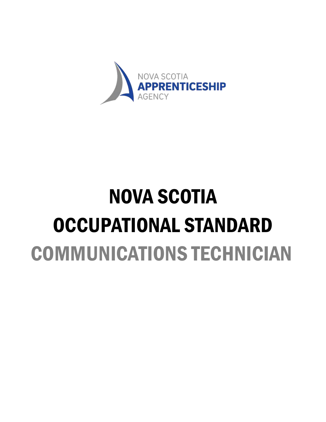

# NOVA SCOTIA OCCUPATIONAL STANDARD COMMUNICATIONS TECHNICIAN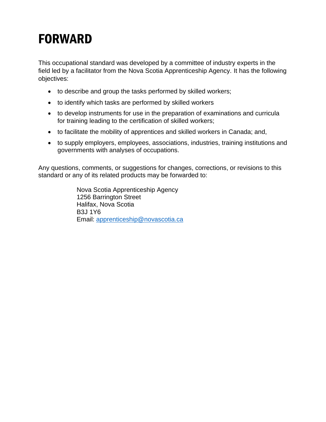## FORWARD

This occupational standard was developed by a committee of industry experts in the field led by a facilitator from the Nova Scotia Apprenticeship Agency. It has the following objectives:

- to describe and group the tasks performed by skilled workers;
- to identify which tasks are performed by skilled workers
- to develop instruments for use in the preparation of examinations and curricula for training leading to the certification of skilled workers;
- to facilitate the mobility of apprentices and skilled workers in Canada; and,
- to supply employers, employees, associations, industries, training institutions and governments with analyses of occupations.

Any questions, comments, or suggestions for changes, corrections, or revisions to this standard or any of its related products may be forwarded to:

> Nova Scotia Apprenticeship Agency 1256 Barrington Street Halifax, Nova Scotia B3J 1Y6 Email: [apprenticeship@novascotia.ca](mailto:apprenticeship@novascotia.ca)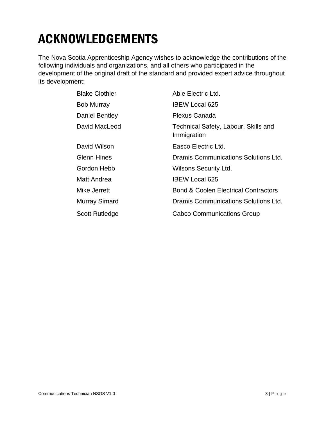## ACKNOWLEDGEMENTS

The Nova Scotia Apprenticeship Agency wishes to acknowledge the contributions of the following individuals and organizations, and all others who participated in the development of the original draft of the standard and provided expert advice throughout its development:

| <b>Blake Clothier</b> | Able Electric Ltd.                                  |
|-----------------------|-----------------------------------------------------|
| <b>Bob Murray</b>     | <b>IBEW Local 625</b>                               |
| Daniel Bentley        | <b>Plexus Canada</b>                                |
| David MacLeod         | Technical Safety, Labour, Skills and<br>Immigration |
| David Wilson          | Easco Electric Ltd.                                 |
| <b>Glenn Hines</b>    | Dramis Communications Solutions Ltd.                |
| Gordon Hebb           | <b>Wilsons Security Ltd.</b>                        |
| Matt Andrea           | <b>IBEW Local 625</b>                               |
| Mike Jerrett          | <b>Bond &amp; Coolen Electrical Contractors</b>     |
| Murray Simard         | Dramis Communications Solutions Ltd.                |
| <b>Scott Rutledge</b> | <b>Cabco Communications Group</b>                   |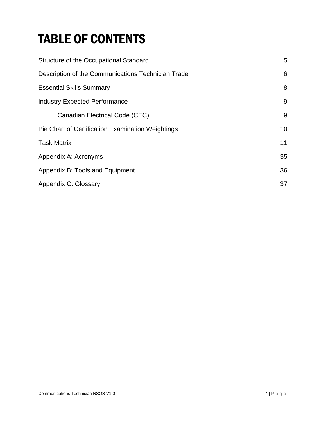## TABLE OF CONTENTS

| Structure of the Occupational Standard             | 5  |
|----------------------------------------------------|----|
| Description of the Communications Technician Trade | 6  |
| <b>Essential Skills Summary</b>                    | 8  |
| <b>Industry Expected Performance</b>               | 9  |
| Canadian Electrical Code (CEC)                     | 9  |
| Pie Chart of Certification Examination Weightings  | 10 |
| <b>Task Matrix</b>                                 | 11 |
| Appendix A: Acronyms                               | 35 |
| Appendix B: Tools and Equipment                    | 36 |
| Appendix C: Glossary                               | 37 |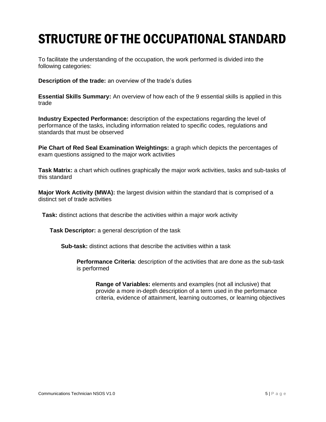## <span id="page-4-0"></span>STRUCTURE OF THE OCCUPATIONAL STANDARD

To facilitate the understanding of the occupation, the work performed is divided into the following categories:

**Description of the trade:** an overview of the trade's duties

**Essential Skills Summary:** An overview of how each of the 9 essential skills is applied in this trade

**Industry Expected Performance:** description of the expectations regarding the level of performance of the tasks, including information related to specific codes, regulations and standards that must be observed

**Pie Chart of Red Seal Examination Weightings:** a graph which depicts the percentages of exam questions assigned to the major work activities

**Task Matrix:** a chart which outlines graphically the major work activities, tasks and sub-tasks of this standard

**Major Work Activity (MWA):** the largest division within the standard that is comprised of a distinct set of trade activities

**Task:** distinct actions that describe the activities within a major work activity

**Task Descriptor:** a general description of the task

**Sub-task:** distinct actions that describe the activities within a task

**Performance Criteria**: description of the activities that are done as the sub-task is performed

**Range of Variables:** elements and examples (not all inclusive) that provide a more in-depth description of a term used in the performance criteria, evidence of attainment, learning outcomes, or learning objectives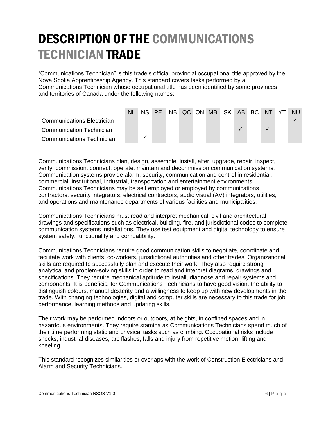## <span id="page-5-0"></span>DESCRIPTION OF THE COMMUNICATIONS TECHNICIAN TRADE

"Communications Technician" is this trade's official provincial occupational title approved by the Nova Scotia Apprenticeship Agency. This standard covers tasks performed by a Communications Technician whose occupational title has been identified by some provinces and territories of Canada under the following names:

|                                  | <b>NL</b> |  | NS PE NB QC ON MB SK AB BC NT YT |  |  |  |  | NU. |
|----------------------------------|-----------|--|----------------------------------|--|--|--|--|-----|
| Communications Electrician       |           |  |                                  |  |  |  |  |     |
| <b>Communication Technician</b>  |           |  |                                  |  |  |  |  |     |
| <b>Communications Technician</b> |           |  |                                  |  |  |  |  |     |

Communications Technicians plan, design, assemble, install, alter, upgrade, repair, inspect, verify, commission, connect, operate, maintain and decommission communication systems. Communication systems provide alarm, security, communication and control in residential, commercial, institutional, industrial, transportation and entertainment environments. Communications Technicians may be self employed or employed by communications contractors, security integrators, electrical contractors, audio visual (AV) integrators, utilities, and operations and maintenance departments of various facilities and municipalities.

Communications Technicians must read and interpret mechanical, civil and architectural drawings and specifications such as electrical, building, fire, and jurisdictional codes to complete communication systems installations. They use test equipment and digital technology to ensure system safety, functionality and compatibility.

Communications Technicians require good communication skills to negotiate, coordinate and facilitate work with clients, co-workers, jurisdictional authorities and other trades. Organizational skills are required to successfully plan and execute their work. They also require strong analytical and problem-solving skills in order to read and interpret diagrams, drawings and specifications. They require mechanical aptitude to install, diagnose and repair systems and components. It is beneficial for Communications Technicians to have good vision, the ability to distinguish colours, manual dexterity and a willingness to keep up with new developments in the trade. With changing technologies, digital and computer skills are necessary to this trade for job performance, learning methods and updating skills.

Their work may be performed indoors or outdoors, at heights, in confined spaces and in hazardous environments. They require stamina as Communications Technicians spend much of their time performing static and physical tasks such as climbing. Occupational risks include shocks, industrial diseases, arc flashes, falls and injury from repetitive motion, lifting and kneeling.

This standard recognizes similarities or overlaps with the work of Construction Electricians and Alarm and Security Technicians.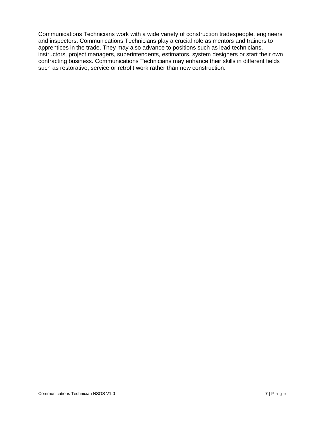Communications Technicians work with a wide variety of construction tradespeople, engineers and inspectors. Communications Technicians play a crucial role as mentors and trainers to apprentices in the trade. They may also advance to positions such as lead technicians, instructors, project managers, superintendents, estimators, system designers or start their own contracting business. Communications Technicians may enhance their skills in different fields such as restorative, service or retrofit work rather than new construction.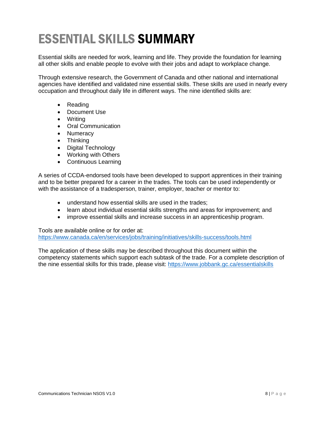## <span id="page-7-0"></span>ESSENTIAL SKILLS SUMMARY

Essential skills are needed for work, learning and life. They provide the foundation for learning all other skills and enable people to evolve with their jobs and adapt to workplace change.

Through extensive research, the Government of Canada and other national and international agencies have identified and validated nine essential skills. These skills are used in nearly every occupation and throughout daily life in different ways. The nine identified skills are:

- Reading
- Document Use
- Writing
- Oral Communication
- Numeracy
- Thinking
- Digital Technology
- Working with Others
- Continuous Learning

A series of CCDA-endorsed tools have been developed to support apprentices in their training and to be better prepared for a career in the trades. The tools can be used independently or with the assistance of a tradesperson, trainer, employer, teacher or mentor to:

- understand how essential skills are used in the trades;
- learn about individual essential skills strengths and areas for improvement; and
- improve essential skills and increase success in an apprenticeship program.

Tools are available online or for order at: <https://www.canada.ca/en/services/jobs/training/initiatives/skills-success/tools.html>

The application of these skills may be described throughout this document within the competency statements which support each subtask of the trade. For a complete description of the nine essential skills for this trade, please visit:<https://www.jobbank.gc.ca/essentialskills>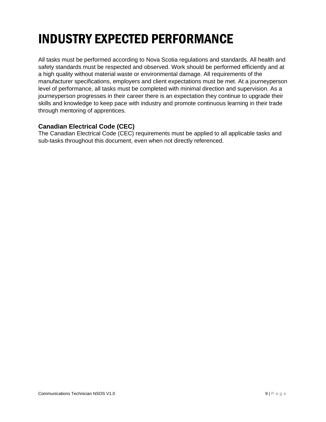## <span id="page-8-0"></span>INDUSTRY EXPECTED PERFORMANCE

All tasks must be performed according to Nova Scotia regulations and standards. All health and safety standards must be respected and observed. Work should be performed efficiently and at a high quality without material waste or environmental damage. All requirements of the manufacturer specifications, employers and client expectations must be met. At a journeyperson level of performance, all tasks must be completed with minimal direction and supervision. As a journeyperson progresses in their career there is an expectation they continue to upgrade their skills and knowledge to keep pace with industry and promote continuous learning in their trade through mentoring of apprentices.

### <span id="page-8-1"></span>**Canadian Electrical Code (CEC)**

The Canadian Electrical Code (CEC) requirements must be applied to all applicable tasks and sub-tasks throughout this document, even when not directly referenced.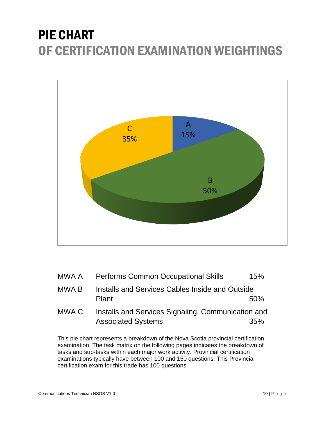## <span id="page-9-0"></span>PIE CHART OF CERTIFICATION EXAMINATION WEIGHTINGS



| MWA A | <b>Performs Common Occupational Skills</b>                                      | 15% |
|-------|---------------------------------------------------------------------------------|-----|
| MWA B | Installs and Services Cables Inside and Outside<br>Plant                        | 50% |
| MWA C | Installs and Services Signaling, Communication and<br><b>Associated Systems</b> | 35% |

This pie chart represents a breakdown of the Nova Scotia provincial certification examination. The task matrix on the following pages indicates the breakdown of tasks and sub-tasks within each major work activity. Provincial certification examinations typically have between 100 and 150 questions. This Provincial certification exam for this trade has 100 questions.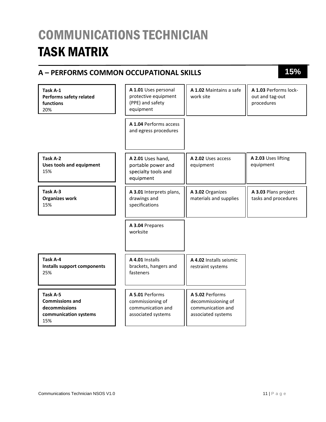## <span id="page-10-0"></span>COMMUNICATIONS TECHNICIAN TASK MATRIX

### **A – PERFORMS COMMON OCCUPATIONAL SKILLS 15%**

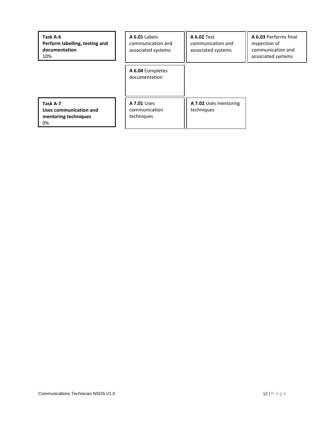| Task A-6<br>Perform labelling, testing and<br>documentation<br>10% | A 6.01 Labels<br>communication and<br>associated systems | <b>A 6.02 Test</b><br>communication and<br>associated systems | A 6.03 Performs final<br>inspection of<br>communication and<br>associated systems |
|--------------------------------------------------------------------|----------------------------------------------------------|---------------------------------------------------------------|-----------------------------------------------------------------------------------|
|                                                                    | A 6.04 Completes<br>documentation                        |                                                               |                                                                                   |
| Task A-7<br>Uses communication and<br>mentoring techniques<br>0%   | <b>A 7.01 Uses</b><br>communication<br>techniques        | A 7.02 Uses mentoring<br>techniques                           |                                                                                   |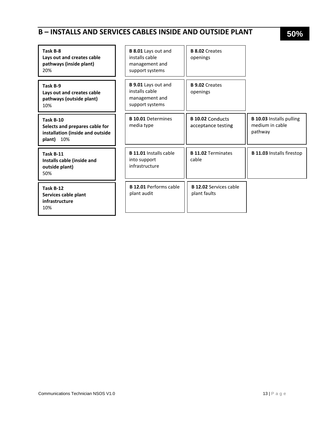### **B – INSTALLS AND SERVICES CABLES INSIDE AND OUTSIDE PLANT 50%**

| Task B-8<br>Lays out and creates cable<br>pathways (inside plant)<br>20%                         | B 8.01 Lays out and<br>installs cable<br>management and<br>support systems        | <b>B 8.02 Creates</b><br>openings             |                                                               |
|--------------------------------------------------------------------------------------------------|-----------------------------------------------------------------------------------|-----------------------------------------------|---------------------------------------------------------------|
| Task B-9<br>Lays out and creates cable<br>pathways (outside plant)<br>10%                        | <b>B 9.01</b> Lays out and<br>installs cable<br>management and<br>support systems | <b>B 9.02 Creates</b><br>openings             |                                                               |
| Task B-10<br>Selects and prepares cable for<br>installation (inside and outside<br>10%<br>plant) | <b>B 10.01 Determines</b><br>media type                                           | <b>B 10.02 Conducts</b><br>acceptance testing | <b>B 10.03 Installs pulling</b><br>medium in cable<br>pathway |
| Task B-11<br>Installs cable (inside and<br>outside plant)<br>50%                                 | <b>B 11.01</b> Installs cable<br>into support<br>infrastructure                   | <b>B 11.02 Terminates</b><br>cable            | <b>B 11.03 Installs firestop</b>                              |
| Task B-12<br>Services cable plant<br>infrastructure<br>10%                                       | <b>B 12.01 Performs cable</b><br>plant audit                                      | <b>B 12.02 Services cable</b><br>plant faults |                                                               |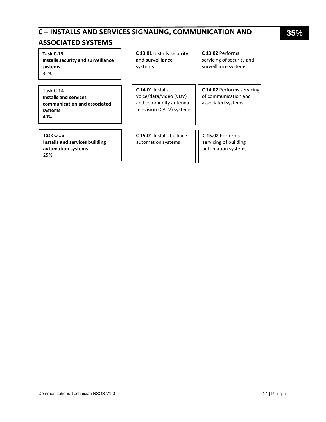### **C – INSTALLS AND SERVICES SIGNALING, COMMUNICATION AND**

### **ASSOCIATED SYSTEMS**

| Task C-13<br>Installs security and surveillance<br>systems<br>35%                    | C 13.01 Installs security<br>and surveillance<br>systems                                           | C 13.02 Performs<br>servicing of security and<br>surveillance systems           |
|--------------------------------------------------------------------------------------|----------------------------------------------------------------------------------------------------|---------------------------------------------------------------------------------|
| Task C-14<br>Installs and services<br>communication and associated<br>systems<br>40% | $C$ 14.01 Installs<br>voice/data/video (VDV)<br>and community antenna<br>television (CATV) systems | <b>C 14.02 Performs servicing</b><br>of communication and<br>associated systems |
| Task C-15<br>Installs and services building<br>automation systems<br>25%             | C 15.01 Installs building<br>automation systems                                                    | C 15.02 Performs<br>servicing of building<br>automation systems                 |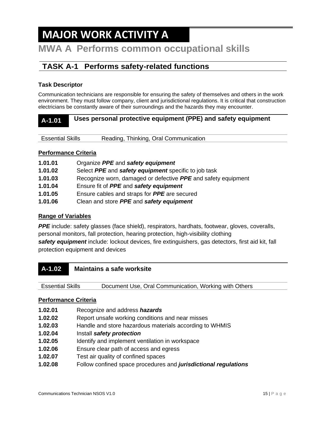## **MAJOR WORK ACTIVITY A**

### **MWA A Performs common occupational skills**

### **TASK A-1 Performs safety-related functions**

### **Task Descriptor**

Communication technicians are responsible for ensuring the safety of themselves and others in the work environment. They must follow company, client and jurisdictional regulations. It is critical that construction electricians be constantly aware of their surroundings and the hazards they may encounter.

### **A-1.01 Uses personal protective equipment (PPE) and safety equipment**

| Reading, Thinking, Oral Communication<br><b>Essential Skills</b> |  |
|------------------------------------------------------------------|--|
|------------------------------------------------------------------|--|

### **Performance Criteria**

| 1.01.01 | Organize PPE and safety equipment                             |
|---------|---------------------------------------------------------------|
| 1.01.02 | Select PPE and safety equipment specific to job task          |
| 1.01.03 | Recognize worn, damaged or defective PPE and safety equipment |
| 1.01.04 | Ensure fit of <b>PPE</b> and <b>safety equipment</b>          |
| 1.01.05 | Ensure cables and straps for <b>PPE</b> are secured           |
| 1.01.06 | Clean and store PPE and safety equipment                      |

### **Range of Variables**

*PPE* include: safety glasses (face shield), respirators, hardhats, footwear, gloves, coveralls, personal monitors, fall protection, hearing protection, high-visibility clothing *safety equipment* include: lockout devices, fire extinguishers, gas detectors, first aid kit, fall protection equipment and devices

**A-1.02 Maintains a safe worksite**

Essential Skills Document Use, Oral Communication, Working with Others

- **1.02.01** Recognize and address *hazards*
- **1.02.02** Report unsafe working conditions and near misses
- **1.02.03** Handle and store hazardous materials according to WHMIS
- **1.02.04** Install *safety protection*
- **1.02.05** Identify and implement ventilation in workspace
- **1.02.06** Ensure clear path of access and egress
- **1.02.07** Test air quality of confined spaces
- **1.02.08** Follow confined space procedures and *jurisdictional regulations*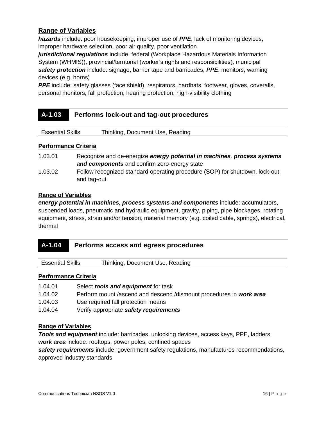*hazards* include: poor housekeeping, improper use of *PPE*, lack of monitoring devices, improper hardware selection, poor air quality, poor ventilation

*jurisdictional regulations* include: federal (Workplace Hazardous Materials Information System (WHMIS)), provincial/territorial (worker's rights and responsibilities), municipal *safety protection* include: signage, barrier tape and barricades, *PPE*, monitors, warning devices (e.g. horns)

**PPE** include: safety glasses (face shield), respirators, hardhats, footwear, gloves, coveralls, personal monitors, fall protection, hearing protection, high-visibility clothing

### **A-1.03 Performs lock-out and tag-out procedures**

Essential Skills Thinking, Document Use, Reading

### **Performance Criteria**

| 1.03.01 | Recognize and de-energize energy potential in machines, process systems     |
|---------|-----------------------------------------------------------------------------|
|         | and components and confirm zero-energy state                                |
| 1.03.02 | Follow recognized standard operating procedure (SOP) for shutdown, lock-out |
|         | and tag-out                                                                 |

### **Range of Variables**

*energy potential in machines, process systems and components* include: accumulators, suspended loads, pneumatic and hydraulic equipment, gravity, piping, pipe blockages, rotating equipment, stress, strain and/or tension, material memory (e.g. coiled cable, springs), electrical, thermal

| Performs access and egress procedures<br>$A-1.04$ |
|---------------------------------------------------|
|---------------------------------------------------|

Essential Skills Thinking, Document Use, Reading

#### **Performance Criteria**

1.04.01 Select *tools and equipment* for task 1.04.02 Perform mount /ascend and descend /dismount procedures in *work area* 1.04.03 Use required fall protection means 1.04.04 Verify appropriate *safety requirements*

### **Range of Variables**

*Tools and equipment* include: barricades, unlocking devices, access keys, PPE, ladders *work area* include: rooftops, power poles, confined spaces

*safety requirements* include: government safety regulations, manufactures recommendations, approved industry standards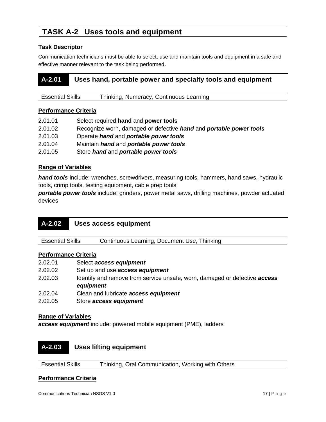### **TASK A-2 Uses tools and equipment**

### **Task Descriptor**

Communication technicians must be able to select, use and maintain tools and equipment in a safe and effective manner relevant to the task being performed.

### **A-2.01 Uses hand, portable power and specialty tools and equipment**

| <b>Essential Skills</b><br>Thinking, Numeracy, Continuous Learning |  |
|--------------------------------------------------------------------|--|
|--------------------------------------------------------------------|--|

### **Performance Criteria**

| 2.01.01 | Select required hand and power tools                               |
|---------|--------------------------------------------------------------------|
| 2.01.02 | Recognize worn, damaged or defective hand and portable power tools |
| 2.01.03 | Operate hand and portable power tools                              |
| 2.01.04 | Maintain <i>hand</i> and <i>portable power tools</i>               |
| 2.01.05 | Store hand and portable power tools                                |

### **Range of Variables**

*hand tools* include: wrenches, screwdrivers, measuring tools, hammers, hand saws, hydraulic tools, crimp tools, testing equipment, cable prep tools

*portable power tools* include: grinders, power metal saws, drilling machines, powder actuated devices

| $A - 2.02$                  | <b>Uses access equipment</b>                                                                   |
|-----------------------------|------------------------------------------------------------------------------------------------|
| <b>Essential Skills</b>     | Continuous Learning, Document Use, Thinking                                                    |
| <b>Performance Criteria</b> |                                                                                                |
| 2.02.01                     | Select access equipment                                                                        |
| 2.02.02                     | Set up and use <b>access equipment</b>                                                         |
| 2.02.03                     | Identify and remove from service unsafe, worn, damaged or defective <b>access</b><br>equipment |
| 2.02.04                     | Clean and lubricate access equipment                                                           |
| 2.02.05                     | Store access equipment                                                                         |

### **Range of Variables**

*access equipment* include: powered mobile equipment (PME), ladders



Essential Skills Thinking, Oral Communication, Working with Others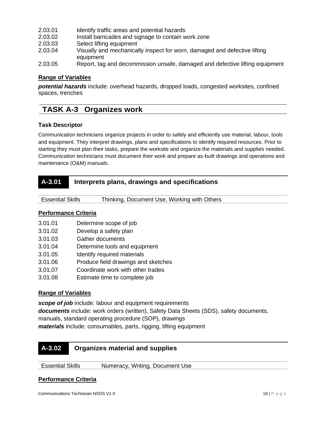- 2.03.01 Identify traffic areas and potential hazards
- 2.03.02 Install barricades and signage to contain work zone
- 2.03.03 Select lifting equipment
- 2.03.04 Visually and mechanically inspect for worn, damaged and defective lifting equipment
- 2.03.05 Report, tag and decommission unsafe, damaged and defective lifting equipment

*potential hazards* include: overhead hazards, dropped loads, congested worksites, confined spaces, trenches

### **TASK A-3 Organizes work**

### **Task Descriptor**

Communication technicians organize projects in order to safely and efficiently use material, labour, tools and equipment. They interpret drawings, plans and specifications to identify required resources. Prior to starting they must plan their tasks, prepare the worksite and organize the materials and supplies needed. Communication technicians must document their work and prepare as-built drawings and operations and maintenance (O&M) manuals.

| A-3.01 | Interprets plans, drawings and specifications |
|--------|-----------------------------------------------|
|--------|-----------------------------------------------|

| <b>Essential Skills</b> | Thinking, Document Use, Working with Others |  |
|-------------------------|---------------------------------------------|--|
|-------------------------|---------------------------------------------|--|

### **Performance Criteria**

- 3.01.01 Determine scope of job
- 3.01.02 Develop a safety plan
- 3.01.03 Gather documents
- 3.01.04 Determine tools and equipment
- 3.01.05 Identify required materials
- 3.01.06 Produce field drawings and sketches
- 3.01.07 Coordinate work with other trades
- 3.01.08 Estimate time to complete job

### **Range of Variables**

*scope of job* include: labour and equipment requirements *documents* include: work orders (written), Safety Data Sheets (SDS), safety documents, manuals, standard operating procedure (SOP), drawings *materials* include: consumables, parts, rigging, lifting equipment

### **A-3.02 Organizes material and supplies**

Essential Skills Numeracy, Writing, Document Use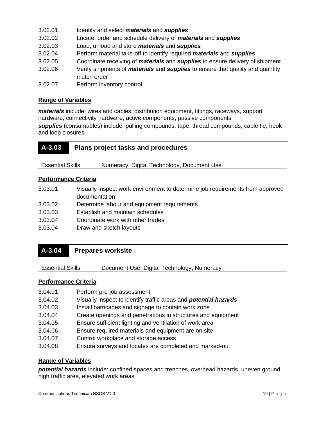| 3.02.01 | Identify and select <i>materials</i> and <i>supplies</i>                                                    |
|---------|-------------------------------------------------------------------------------------------------------------|
| 3.02.02 | Locate, order and schedule delivery of <i>materials</i> and <i>supplies</i>                                 |
| 3.02.03 | Load, unload and store <i>materials</i> and <i>supplies</i>                                                 |
| 3.02.04 | Perform material take-off to identify required <i>materials</i> and <i>supplies</i>                         |
| 3.02.05 | Coordinate receiving of <i>materials</i> and <i>supplies</i> to ensure delivery of shipment                 |
| 3.02.06 | Verify shipments of <i>materials</i> and <i>supplies</i> to ensure that quality and quantity<br>match order |
|         |                                                                                                             |

3.02.07 Perform inventory control

### **Range of Variables**

*materials* include: wires and cables, distribution equipment, fittings, raceways, support hardware, connectivity hardware, active components, passive components

*supplies* (consumables) include: pulling compounds, tape, thread compounds, cable tie, hook and loop closures

| $A - 3.03$              | <b>Plans project tasks and procedures</b>  |
|-------------------------|--------------------------------------------|
| <b>Essential Skills</b> | Numeracy, Digital Technology, Document Use |

### **Performance Criteria**

| 3.03.01 | Visually inspect work environment to determine job requirements from approved<br>documentation |
|---------|------------------------------------------------------------------------------------------------|
| 3.03.02 | Determine labour and equipment requirements                                                    |
| 3.03.03 | Establish and maintain schedules                                                               |
| 3.03.04 | Coordinate work with other trades                                                              |
| 3.03.04 | Draw and sketch layouts                                                                        |

### **A-3.04 Prepares worksite**

Essential Skills Document Use, Digital Technology, Numeracy

#### **Performance Criteria**

- 3.04.01 Perform pre-job assessment
- 3.04.02 Visually inspect to identify traffic areas and *potential hazards*
- 3.04.03 Install barricades and signage to contain work zone
- 3.04.04 Create openings and penetrations in structures and equipment
- 3.04.05 Ensure sufficient lighting and ventilation of work area
- 3.04.06 Ensure required materials and equipment are on site
- 3.04.07 Control workplace and storage access
- 3.04.08 Ensure surveys and locates are completed and marked-out

### **Range of Variables**

*potential hazards* include: confined spaces and trenches, overhead hazards, uneven ground, high traffic area, elevated work areas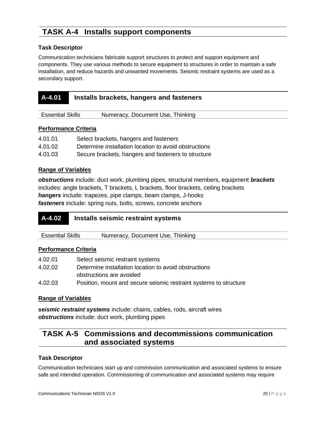### **TASK A-4 Installs support components**

### **Task Descriptor**

Communication technicians fabricate support structures to protect and support equipment and components. They use various methods to secure equipment to structures in order to maintain a safe installation, and reduce hazards and unwanted movements. Seismic restraint systems are used as a secondary support.

| A-4.01 | Installs brackets, hangers and fasteners |
|--------|------------------------------------------|
|        |                                          |

### **Performance Criteria**

| 4.01.01 | Select brackets, hangers and fasteners                |
|---------|-------------------------------------------------------|
| 4.01.02 | Determine installation location to avoid obstructions |
| 4.01.03 | Secure brackets, hangers and fasteners to structure   |

Essential Skills Numeracy, Document Use, Thinking

### **Range of Variables**

*obstructions* include: duct work, plumbing pipes, structural members, equipment *brackets* includes: angle brackets, T brackets, L brackets, floor brackets, ceiling brackets *hangers* include: trapezes, pipe clamps, beam clamps, J-hooks *fasteners* include: spring nuts, bolts, screws, concrete anchors

| $A-4.02$                | Installs seismic restraint systems |
|-------------------------|------------------------------------|
| <b>Essential Skills</b> | Numeracy, Document Use, Thinking   |
| Dorformanco Critoria    |                                    |

### **Performance Criteria**

| 4.02.01 | Select seismic restraint systems                                  |
|---------|-------------------------------------------------------------------|
| 4.02.02 | Determine installation location to avoid obstructions             |
|         | obstructions are avoided                                          |
| 4.02.03 | Position, mount and secure seismic restraint systems to structure |

### **Range of Variables**

*seismic restraint systems* include: chains, cables, rods, aircraft wires *obstructions* include: duct work, plumbing pipes

### **TASK A-5 Commissions and decommissions communication and associated systems**

### **Task Descriptor**

Communication technicians start up and commission communication and associated systems to ensure safe and intended operation. Commissioning of communication and associated systems may require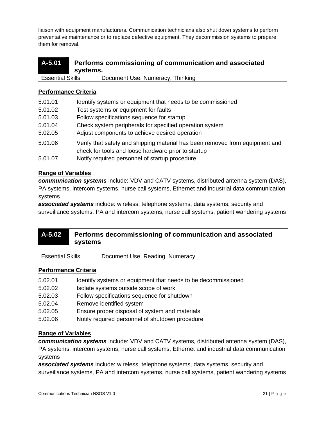liaison with equipment manufacturers. Communication technicians also shut down systems to perform preventative maintenance or to replace defective equipment. They decommission systems to prepare them for removal.

| $A - 5.01$              | systems. | Performs commissioning of communication and associated |
|-------------------------|----------|--------------------------------------------------------|
| <b>Essential Skills</b> |          | Document Use, Numeracy, Thinking                       |

|  |  | Performance Criteria |
|--|--|----------------------|
|  |  |                      |

| 5.01.01 | Identify systems or equipment that needs to be commissioned                                                                         |
|---------|-------------------------------------------------------------------------------------------------------------------------------------|
| 5.01.02 | Test systems or equipment for faults                                                                                                |
| 5.01.03 | Follow specifications sequence for startup                                                                                          |
| 5.01.04 | Check system peripherals for specified operation system                                                                             |
| 5.02.05 | Adjust components to achieve desired operation                                                                                      |
| 5.01.06 | Verify that safety and shipping material has been removed from equipment and<br>check for tools and loose hardware prior to startup |
| 5.01.07 | Notify required personnel of startup procedure                                                                                      |

### **Range of Variables**

*communication systems* include: VDV and CATV systems, distributed antenna system (DAS), PA systems, intercom systems, nurse call systems, Ethernet and industrial data communication systems

*associated systems* include: wireless, telephone systems, data systems, security and surveillance systems, PA and intercom systems, nurse call systems, patient wandering systems

### **A-5.02 Performs decommissioning of communication and associated systems**

| <b>Essential Skills</b> | Document Use, Reading, Numeracy |
|-------------------------|---------------------------------|
|-------------------------|---------------------------------|

### **Performance Criteria**

- 5.02.01 Identify systems or equipment that needs to be decommissioned 5.02.02 Isolate systems outside scope of work
- 5.02.03 Follow specifications sequence for shutdown
- 5.02.04 Remove identified system
- 5.02.05 Ensure proper disposal of system and materials
- 5.02.06 Notify required personnel of shutdown procedure

### **Range of Variables**

*communication systems* include: VDV and CATV systems, distributed antenna system (DAS), PA systems, intercom systems, nurse call systems, Ethernet and industrial data communication systems

*associated systems* include: wireless, telephone systems, data systems, security and surveillance systems, PA and intercom systems, nurse call systems, patient wandering systems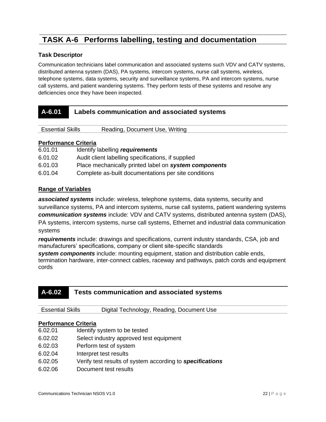### **TASK A-6 Performs labelling, testing and documentation**

### **Task Descriptor**

Communication technicians label communication and associated systems such VDV and CATV systems, distributed antenna system (DAS), PA systems, intercom systems, nurse call systems, wireless, telephone systems, data systems, security and surveillance systems, PA and intercom systems, nurse call systems, and patient wandering systems. They perform tests of these systems and resolve any deficiencies once they have been inspected.

| A-6.01                  | Labels communication and associated systems |                                |
|-------------------------|---------------------------------------------|--------------------------------|
|                         |                                             |                                |
| <b>Essential Skills</b> |                                             | Reading, Document Use, Writing |

#### **Performance Criteria**

| 6.01.01 | Identify labelling requirements                       |
|---------|-------------------------------------------------------|
| 6.01.02 | Audit client labelling specifications, if supplied    |
| 6.01.03 | Place mechanically printed label on system components |
| 6.01.04 | Complete as-built documentations per site conditions  |

#### **Range of Variables**

*associated systems* include: wireless, telephone systems, data systems, security and surveillance systems, PA and intercom systems, nurse call systems, patient wandering systems *communication systems* include: VDV and CATV systems, distributed antenna system (DAS), PA systems, intercom systems, nurse call systems, Ethernet and industrial data communication systems

*requirements* include: drawings and specifications, current industry standards, CSA, job and manufacturers' specifications, company or client site-specific standards

*system components* include: mounting equipment, station and distribution cable ends, termination hardware, inter-connect cables, raceway and pathways, patch cords and equipment cords

### **A-6.02 Tests communication and associated systems**

| <b>Essential Skills</b> | Digital Technology, Reading, Document Use |
|-------------------------|-------------------------------------------|
|                         |                                           |

- 6.02.01 Identify system to be tested
- 6.02.02 Select industry approved test equipment
- 6.02.03 Perform test of system
- 6.02.04 Interpret test results
- 6.02.05 Verify test results of system according to *specifications*
- 6.02.06 Document test results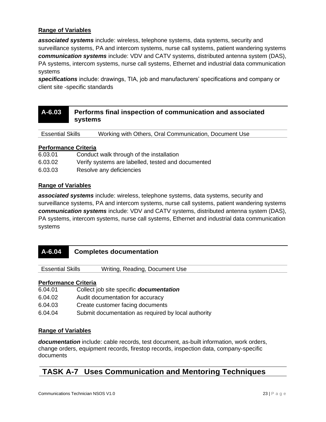*associated systems* include: wireless, telephone systems, data systems, security and surveillance systems, PA and intercom systems, nurse call systems, patient wandering systems *communication systems* include: VDV and CATV systems, distributed antenna system (DAS), PA systems, intercom systems, nurse call systems, Ethernet and industrial data communication systems

*specifications* include: drawings, TIA, job and manufacturers' specifications and company or client site -specific standards

### **A-6.03 Performs final inspection of communication and associated systems**

Essential Skills Working with Others, Oral Communication, Document Use

### **Performance Criteria**

| 6.03.01 | Conduct walk through of the installation           |
|---------|----------------------------------------------------|
| 6.03.02 | Verify systems are labelled, tested and documented |
| 6.03.03 | Resolve any deficiencies                           |

### **Range of Variables**

*associated systems* include: wireless, telephone systems, data systems, security and surveillance systems, PA and intercom systems, nurse call systems, patient wandering systems *communication systems* include: VDV and CATV systems, distributed antenna system (DAS), PA systems, intercom systems, nurse call systems, Ethernet and industrial data communication systems

| $A - 6.04$              | <b>Completes documentation</b> |
|-------------------------|--------------------------------|
| <b>Essential Skills</b> | Writing, Reading, Document Use |

#### **Performance Criteria**

| 6.04.01 | Collect job site specific <b>documentation</b>      |
|---------|-----------------------------------------------------|
| 6.04.02 | Audit documentation for accuracy                    |
| 6.04.03 | Create customer facing documents                    |
| 6.04.04 | Submit documentation as required by local authority |

### **Range of Variables**

*documentation* include: cable records, test document, as-built information, work orders, change orders, equipment records, firestop records, inspection data, company-specific documents

### **TASK A-7 Uses Communication and Mentoring Techniques**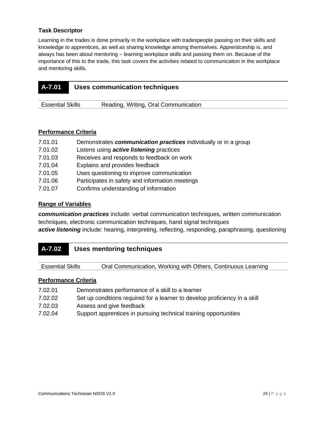### **Task Descriptor**

Learning in the trades is done primarily in the workplace with tradespeople passing on their skills and knowledge to apprentices, as well as sharing knowledge among themselves. Apprenticeship is, and always has been about mentoring – learning workplace skills and passing them on. Because of the importance of this to the trade, this task covers the activities related to communication in the workplace and mentoring skills.

| <b>A-7.01</b> | Uses communication techniques |
|---------------|-------------------------------|
|               |                               |

### **Performance Criteria**

- 7.01.01 Demonstrates *communication practices* individually or in a group
- 7.01.02 Listens using *active listening* practices
- 7.01.03 Receives and responds to feedback on work

Essential Skills Reading, Writing, Oral Communication

- 7.01.04 Explains and provides feedback
- 7.01.05 Uses questioning to improve communication
- 7.01.06 Participates in safety and information meetings
- 7.01.07 Confirms understanding of information

#### **Range of Variables**

*communication practices* include: verbal communication techniques, written communication techniques, electronic communication techniques, hand signal techniques *active listening* include: hearing, interpreting, reflecting, responding, paraphrasing, questioning

Essential Skills Oral Communication, Working with Others, Continuous Learning

- 7.02.01 Demonstrates performance of a skill to a learner
- 7.02.02 Set up conditions required for a learner to develop proficiency in a skill
- 7.02.03 Assess and give feedback
- 7.02.04 Support apprentices in pursuing technical training opportunities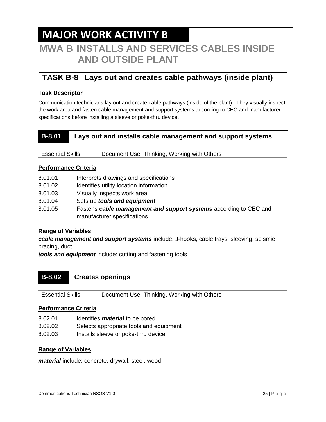### **MAJOR WORK ACTIVITY B**

### **MWA B INSTALLS AND SERVICES CABLES INSIDE AND OUTSIDE PLANT**

### **TASK B-8 Lays out and creates cable pathways (inside plant)**

### **Task Descriptor**

Communication technicians lay out and create cable pathways (inside of the plant). They visually inspect the work area and fasten cable management and support systems according to CEC and manufacturer specifications before installing a sleeve or poke-thru device.

### **B-8.01 Lays out and installs cable management and support systems**

Essential Skills Document Use, Thinking, Working with Others

### **Performance Criteria**

- 8.01.01 Interprets drawings and specifications
- 8.01.02 Identifies utility location information
- 8.01.03 Visually inspects work area
- 8.01.04 Sets up *tools and equipment*
- 8.01.05 Fastens *cable management and support systems* according to CEC and manufacturer specifications

### **Range of Variables**

*cable management and support systems* include: J-hooks, cable trays, sleeving, seismic bracing, duct

*tools and equipment* include: cutting and fastening tools

### **B-8.02 Creates openings**

Essential Skills Document Use, Thinking, Working with Others

#### **Performance Criteria**

- 8.02.01 Identifies *material* to be bored
- 8.02.02 Selects appropriate tools and equipment
- 8.02.03 Installs sleeve or poke-thru device

### **Range of Variables**

*material* include: concrete, drywall, steel, wood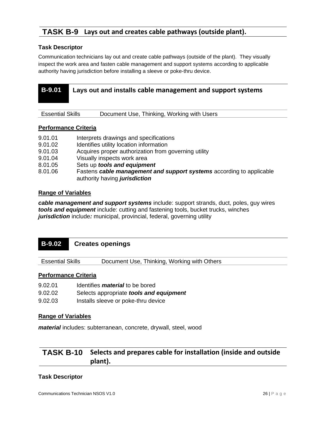### **TASK B-9 Lays out and creates cable pathways (outside plant).**

### **Task Descriptor**

Communication technicians lay out and create cable pathways (outside of the plant). They visually inspect the work area and fasten cable management and support systems according to applicable authority having jurisdiction before installing a sleeve or poke-thru device.

| <b>B-9.01</b>           |  | Lays out and installs cable management and support systems |
|-------------------------|--|------------------------------------------------------------|
| <b>Essential Skills</b> |  | Document Use, Thinking, Working with Users                 |

#### **Performance Criteria**

| 9.01.01 | Interprets drawings and specifications                               |
|---------|----------------------------------------------------------------------|
| 9.01.02 | Identifies utility location information                              |
| 9.01.03 | Acquires proper authorization from governing utility                 |
| 9.01.04 | Visually inspects work area                                          |
| 8.01.05 | Sets up tools and equipment                                          |
| 8.01.06 | Fastens cable management and support systems according to applicable |
|         | authority having jurisdiction                                        |

### **Range of Variables**

*cable management and support systems* include: support strands, duct, poles, guy wires *tools and equipment* include: cutting and fastening tools, bucket trucks, winches *jurisdiction* include*:* municipal, provincial, federal, governing utility

### **B-9.02 Creates openings**

Essential Skills Document Use, Thinking, Working with Others

#### **Performance Criteria**

9.02.01 Identifies *material* to be bored 9.02.02 Selects appropriate *tools and equipment* 9.02.03 Installs sleeve or poke-thru device

### **Range of Variables**

*material* includes: subterranean, concrete, drywall, steel, wood

### **TASK B-10 Selects and prepares cable for installation (inside and outside plant).**

#### **Task Descriptor**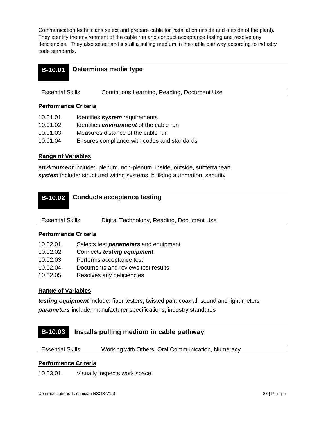Communication technicians select and prepare cable for installation (inside and outside of the plant). They identify the environment of the cable run and conduct acceptance testing and resolve any deficiencies. They also select and install a pulling medium in the cable pathway according to industry code standards.

| <b>B-10.01</b> Determines media type |
|--------------------------------------|
|                                      |

| <b>Essential Skills</b> | Continuous Learning, Reading, Document Use |
|-------------------------|--------------------------------------------|
|                         |                                            |

### **Performance Criteria**

| 10.01.01 | Identifies system requirements                 |
|----------|------------------------------------------------|
| 10.01.02 | Identifies <i>environment</i> of the cable run |
| 10.01.03 | Measures distance of the cable run             |
| 10.01.04 | Ensures compliance with codes and standards    |

### **Range of Variables**

*environment* include: plenum, non-plenum, inside, outside, subterranean *system* include: structured wiring systems, building automation, security

Essential Skills Digital Technology, Reading, Document Use

### **Performance Criteria**

| 10.02.01 | Selects test <i>parameters</i> and equipment |
|----------|----------------------------------------------|
| 10.02.02 | Connects testing equipment                   |
| 10.02.03 | Performs acceptance test                     |
| 10.02.04 | Documents and reviews test results           |
| 10.02.05 | Resolves any deficiencies                    |

### **Range of Variables**

*testing equipment* include: fiber testers, twisted pair, coaxial, sound and light meters *parameters* include: manufacturer specifications, industry standards

### **B-10.03 Installs pulling medium in cable pathway**

Essential Skills Working with Others, Oral Communication, Numeracy

### **Performance Criteria**

10.03.01 Visually inspects work space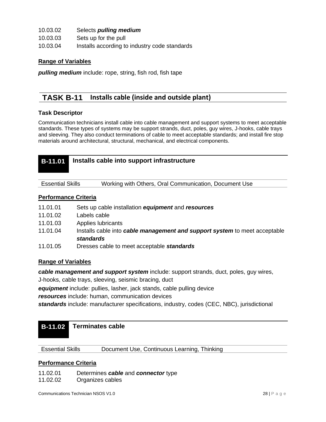| 10.03.02 | Selects <i>pulling</i> medium                 |
|----------|-----------------------------------------------|
| 10.03.03 | Sets up for the pull                          |
| 10.03.04 | Installs according to industry code standards |

*pulling medium* include: rope, string, fish rod, fish tape

### **TASK B-11 Installs cable (inside and outside plant)**

#### **Task Descriptor**

Communication technicians install cable into cable management and support systems to meet acceptable standards. These types of systems may be support strands, duct, poles, guy wires, J-hooks, cable trays and sleeving. They also conduct terminations of cable to meet acceptable standards; and install fire stop materials around architectural, structural, mechanical, and electrical components.

| <b>B-11.01</b> Installs cable into support infrastructure |
|-----------------------------------------------------------|
|                                                           |

Essential Skills Working with Others, Oral Communication, Document Use

#### **Performance Criteria**

- 11.01.01 Sets up cable installation *equipment* and *resources*
- 11.01.02 Labels cable
- 11.01.03 Applies lubricants
- 11.01.04 Installs cable into *cable management and support system* to meet acceptable *standards*
- 11.01.05 Dresses cable to meet acceptable *standards*

#### **Range of Variables**

*cable management and support system* include: support strands, duct, poles, guy wires,

J-hooks, cable trays, sleeving, seismic bracing, duct

*equipment* include: pullies, lasher, jack stands, cable pulling device

*resources* include: human, communication devices

*standards* include: manufacturer specifications, industry, codes (CEC, NBC), jurisdictional

### **B-11.02 Terminates cable**

Essential Skills Document Use, Continuous Learning, Thinking

#### **Performance Criteria**

11.02.01 Determines *cable* and *connector* type

11.02.02 Organizes cables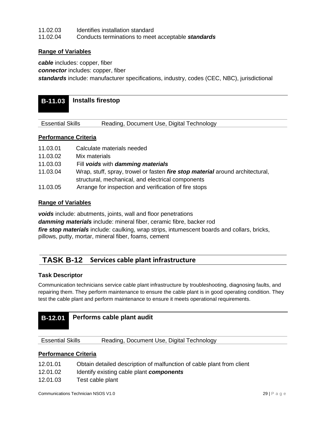| 11.02.03 | Identifies installation standard                   |
|----------|----------------------------------------------------|
| 11.02.04 | Conducts terminations to meet acceptable standards |

*cable* includes: copper, fiber

*connector* includes: copper, fiber

*standards* include: manufacturer specifications, industry, codes (CEC, NBC), jurisdictional

### **B-11.03 Installs firestop**

Essential Skills Reading, Document Use, Digital Technology

### **Performance Criteria**

- 11.03.01 Calculate materials needed
- 11.03.02 Mix materials
- 11.03.03 Fill *voids* with *damming materials*
- 11.03.04 Wrap, stuff, spray, trowel or fasten *fire stop material* around architectural, structural, mechanical, and electrical components
- 11.03.05 Arrange for inspection and verification of fire stops

### **Range of Variables**

*voids* include: abutments, joints, wall and floor penetrations *damming materials* include: mineral fiber, ceramic fibre, backer rod *fire stop materials* include: caulking, wrap strips, intumescent boards and collars, bricks, pillows, putty, mortar, mineral fiber, foams, cement

### **TASK B-12 Services cable plant infrastructure**

#### **Task Descriptor**

Communication technicians service cable plant infrastructure by troubleshooting, diagnosing faults, and repairing them. They perform maintenance to ensure the cable plant is in good operating condition. They test the cable plant and perform maintenance to ensure it meets operational requirements.

| <b>B-12.01</b>          | Performs cable plant audit |                                           |  |
|-------------------------|----------------------------|-------------------------------------------|--|
| <b>Essential Skills</b> |                            | Reading, Document Use, Digital Technology |  |
|                         |                            |                                           |  |

- 12.01.01 Obtain detailed description of malfunction of cable plant from client
- 12.01.02 Identify existing cable plant *components*
- 12.01.03 Test cable plant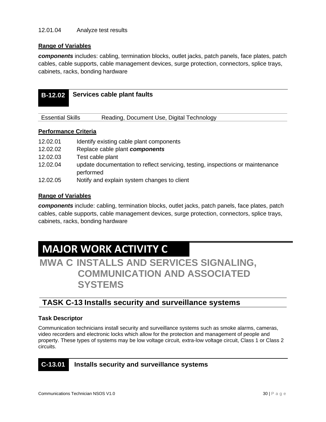*components* includes: cabling, termination blocks, outlet jacks, patch panels, face plates, patch cables, cable supports, cable management devices, surge protection, connectors, splice trays, cabinets, racks, bonding hardware

| <b>B-12.02</b>              | Services cable plant faults               |
|-----------------------------|-------------------------------------------|
|                             |                                           |
| <b>Essential Skills</b>     | Reading, Document Use, Digital Technology |
| <b>Performance Criteria</b> |                                           |
| 12.02.01                    | Identify existing cable plant components  |
| 12.02.02                    | Replace cable plant components            |
| 12.02.03                    | Test cable plant                          |

- 12.02.04 update documentation to reflect servicing, testing, inspections or maintenance performed
- 12.02.05 Notify and explain system changes to client

### **Range of Variables**

*components* include: cabling, termination blocks, outlet jacks, patch panels, face plates, patch cables, cable supports, cable management devices, surge protection, connectors, splice trays, cabinets, racks, bonding hardware

## **MAJOR WORK ACTIVITY C**

**MWA C INSTALLS AND SERVICES SIGNALING, COMMUNICATION AND ASSOCIATED SYSTEMS**

### **TASK C-13 Installs security and surveillance systems**

### **Task Descriptor**

Communication technicians install security and surveillance systems such as smoke alarms, cameras, video recorders and electronic locks which allow for the protection and management of people and property. These types of systems may be low voltage circuit, extra-low voltage circuit, Class 1 or Class 2 circuits.

### **C-13.01 Installs security and surveillance systems**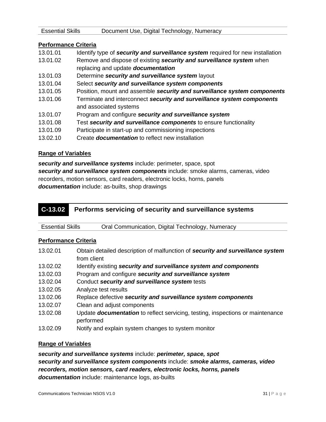| <b>Essential Skills</b>     | Document Use, Digital Technology, Numeracy                                      |
|-----------------------------|---------------------------------------------------------------------------------|
|                             |                                                                                 |
| <b>Performance Criteria</b> |                                                                                 |
| 13.01.01                    | Identify type of security and surveillance system required for new installation |
| 13.01.02                    | Remove and dispose of existing security and surveillance system when            |
|                             | replacing and update <b>documentation</b>                                       |
| 13.01.03                    | Determine security and surveillance system layout                               |
| 13.01.04                    | Select security and surveillance system components                              |
| 13.01.05                    | Position, mount and assemble security and surveillance system components        |
|                             |                                                                                 |

- 13.01.06 Terminate and interconnect *security and surveillance system components* and associated systems
- 13.01.07 Program and configure *security and surveillance system*
- 13.01.08 Test *security and surveillance components* to ensure functionality
- 13.01.09 Participate in start-up and commissioning inspections
- 13.02.10 Create *documentation* to reflect new installation

*security and surveillance systems* include: perimeter, space, spot *security and surveillance system components* include: smoke alarms, cameras, video recorders, motion sensors, card readers, electronic locks, horns, panels *documentation* include: as-builts, shop drawings

### **C-13.02 Performs servicing of security and surveillance systems**

| <b>Essential Skills</b> | Oral Communication, Digital Technology, Numeracy |
|-------------------------|--------------------------------------------------|
|                         |                                                  |

### **Performance Criteria**

| 13.02.01 | Obtain detailed description of malfunction of security and surveillance system<br>from client      |
|----------|----------------------------------------------------------------------------------------------------|
| 13.02.02 | Identify existing security and surveillance system and components                                  |
| 13.02.03 | Program and configure security and surveillance system                                             |
| 13.02.04 | Conduct security and surveillance system tests                                                     |
| 13.02.05 | Analyze test results                                                                               |
| 13.02.06 | Replace defective security and surveillance system components                                      |
| 13.02.07 | Clean and adjust components                                                                        |
| 13.02.08 | Update <b>documentation</b> to reflect servicing, testing, inspections or maintenance<br>performed |
| 13 N2 N9 | Notify and explain system changes to system monitor                                                |

13.02.09 Notify and explain system changes to system monitor

### **Range of Variables**

*security and surveillance systems* include: *perimeter, space, spot security and surveillance system components* include: *smoke alarms, cameras, video recorders, motion sensors, card readers, electronic locks, horns, panels documentation* include: maintenance logs, as-builts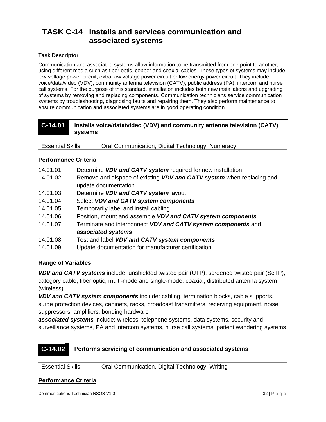### **TASK C-14 Installs and services communication and associated systems**

#### **Task Descriptor**

Communication and associated systems allow information to be transmitted from one point to another, using different media such as fiber optic, copper and coaxial cables. These types of systems may include low-voltage power circuit, extra-low voltage power circuit or low energy power circuit. They include voice/data/video (VDV), community antenna television (CATV), public address (PA), intercom and nurse call systems. For the purpose of this standard, installation includes both new installations and upgrading of systems by removing and replacing components. Communication technicians service communication systems by troubleshooting, diagnosing faults and repairing them. They also perform maintenance to ensure communication and associated systems are in good operating condition.

| C-14.01 | Installs voice/data/video (VDV) and community antenna television (CATV) |
|---------|-------------------------------------------------------------------------|
|         | systems                                                                 |

Essential Skills Oral Communication, Digital Technology, Numeracy

### **Performance Criteria**

- 14.01.01 Determine *VDV and CATV system* required for new installation
- 14.01.02 Remove and dispose of existing *VDV and CATV system* when replacing and update documentation
- 14.01.03 Determine *VDV and CATV system* layout
- 14.01.04 Select *VDV and CATV system components*
- 14.01.05 Temporarily label and install cabling
- 14.01.06 Position, mount and assemble *VDV and CATV system components*
- 14.01.07 Terminate and interconnect *VDV and CATV system components* and *associated systems*
- 14.01.08 Test and label *VDV and CATV system components*
- 14.01.09 Update documentation for manufacturer certification

### **Range of Variables**

*VDV and CATV systems* include: unshielded twisted pair (UTP), screened twisted pair (ScTP), category cable, fiber optic, multi-mode and single-mode, coaxial, distributed antenna system (wireless)

*VDV and CATV system components* include: cabling, termination blocks, cable supports, surge protection devices, cabinets, racks, broadcast transmitters, receiving equipment, noise suppressors, amplifiers, bonding hardware

*associated systems* include: wireless, telephone systems, data systems, security and surveillance systems, PA and intercom systems, nurse call systems, patient wandering systems

### **C-14.02 Performs servicing of communication and associated systems**

| <b>Essential Skills</b> | Oral Communication, Digital Technology, Writing |  |
|-------------------------|-------------------------------------------------|--|
|-------------------------|-------------------------------------------------|--|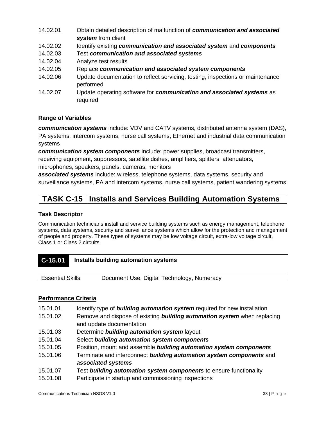- 14.02.01 Obtain detailed description of malfunction of *communication and associated system* from client
- 14.02.02 Identify existing *communication and associated system* and *components*
- 14.02.03 Test *communication and associated systems*
- 14.02.04 Analyze test results
- 14.02.05 Replace *communication and associated system components*
- 14.02.06 Update documentation to reflect servicing, testing, inspections or maintenance performed
- 14.02.07 Update operating software for *communication and associated systems* as required

*communication systems* include: VDV and CATV systems, distributed antenna system (DAS), PA systems, intercom systems, nurse call systems, Ethernet and industrial data communication systems

*communication system components* include: power supplies, broadcast transmitters, receiving equipment, suppressors, satellite dishes, amplifiers, splitters, attenuators,

microphones, speakers, panels, cameras, monitors

*associated systems* include: wireless, telephone systems, data systems, security and surveillance systems, PA and intercom systems, nurse call systems, patient wandering systems

### **TASK C-15 Installs and Services Building Automation Systems**

### **Task Descriptor**

Communication technicians install and service building systems such as energy management, telephone systems, data systems, security and surveillance systems which allow for the protection and management of people and property. These types of systems may be low voltage circuit, extra-low voltage circuit, Class 1 or Class 2 circuits.

### **C-15.01 Installs building automation systems**

|--|

- 15.01.01 Identify type of *building automation system* required for new installation
- 15.01.02 Remove and dispose of existing *building automation system* when replacing and update documentation
- 15.01.03 Determine *building automation system* layout
- 15.01.04 Select *building automation system components*
- 15.01.05 Position, mount and assemble *building automation system components*
- 15.01.06 Terminate and interconnect *building automation system components* and *associated systems*
- 15.01.07 Test *building automation system components* to ensure functionality
- 15.01.08 Participate in startup and commissioning inspections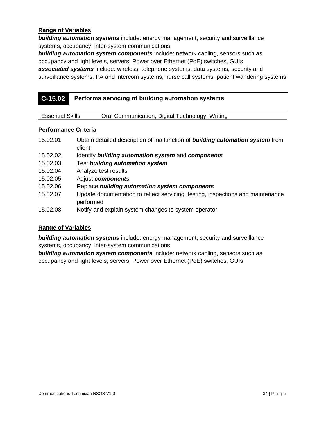*building automation systems* include: energy management, security and surveillance systems, occupancy, inter-system communications

*building automation system components* include: network cabling, sensors such as occupancy and light levels, servers, Power over Ethernet (PoE) switches, GUIs *associated systems* include: wireless, telephone systems, data systems, security and surveillance systems, PA and intercom systems, nurse call systems, patient wandering systems

| $C-15.02$ | Performs servicing of building automation systems |
|-----------|---------------------------------------------------|
|-----------|---------------------------------------------------|

| <b>Essential Skills</b> | Oral Communication, Digital Technology, Writing |  |
|-------------------------|-------------------------------------------------|--|
|-------------------------|-------------------------------------------------|--|

### **Performance Criteria**

| 15.02.01 | Obtain detailed description of malfunction of <b>building automation system</b> from<br>client |
|----------|------------------------------------------------------------------------------------------------|
| 15.02.02 | Identify building automation system and components                                             |
| 15.02.03 | Test building automation system                                                                |
| 15.02.04 | Analyze test results                                                                           |
| 15.02.05 | Adjust components                                                                              |
| 15.02.06 | Replace building automation system components                                                  |
| 15.02.07 | Update documentation to reflect servicing, testing, inspections and maintenance<br>performed   |
| 15.02.08 | Notify and explain system changes to system operator                                           |

#### **Range of Variables**

*building automation systems* include: energy management, security and surveillance systems, occupancy, inter-system communications

*building automation system components* include: network cabling, sensors such as occupancy and light levels, servers, Power over Ethernet (PoE) switches, GUIs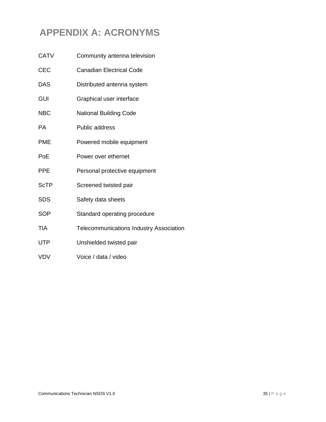### <span id="page-34-0"></span>**APPENDIX A: ACRONYMS**

| <b>CATV</b> | Community antenna television                   |
|-------------|------------------------------------------------|
| <b>CEC</b>  | <b>Canadian Electrical Code</b>                |
| <b>DAS</b>  | Distributed antenna system                     |
| <b>GUI</b>  | Graphical user interface                       |
| <b>NBC</b>  | <b>National Building Code</b>                  |
| <b>PA</b>   | <b>Public address</b>                          |
| <b>PME</b>  | Powered mobile equipment                       |
| PoE         | Power over ethernet                            |
| <b>PPE</b>  | Personal protective equipment                  |
| <b>ScTP</b> | Screened twisted pair                          |
| <b>SDS</b>  | Safety data sheets                             |
| <b>SOP</b>  | Standard operating procedure                   |
| TIA         | <b>Telecommunications Industry Association</b> |
| <b>UTP</b>  | Unshielded twisted pair                        |
| <b>VDV</b>  | Voice / data / video                           |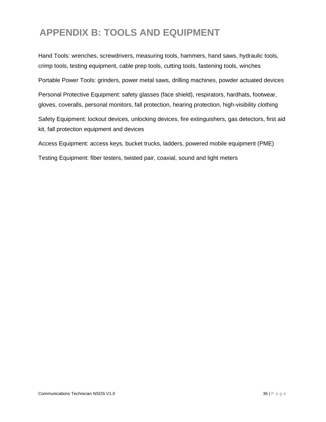### <span id="page-35-0"></span>**APPENDIX B: TOOLS AND EQUIPMENT**

Hand Tools: wrenches, screwdrivers, measuring tools, hammers, hand saws, hydraulic tools, crimp tools, testing equipment, cable prep tools, cutting tools, fastening tools, winches

Portable Power Tools: grinders, power metal saws, drilling machines, powder actuated devices

Personal Protective Equipment: safety glasses (face shield), respirators, hardhats, footwear, gloves, coveralls, personal monitors, fall protection, hearing protection, high-visibility clothing

Safety Equipment: lockout devices, unlocking devices, fire extinguishers, gas detectors, first aid kit, fall protection equipment and devices

Access Equipment: access keys, bucket trucks, ladders, powered mobile equipment (PME)

Testing Equipment: fiber testers, twisted pair, coaxial, sound and light meters